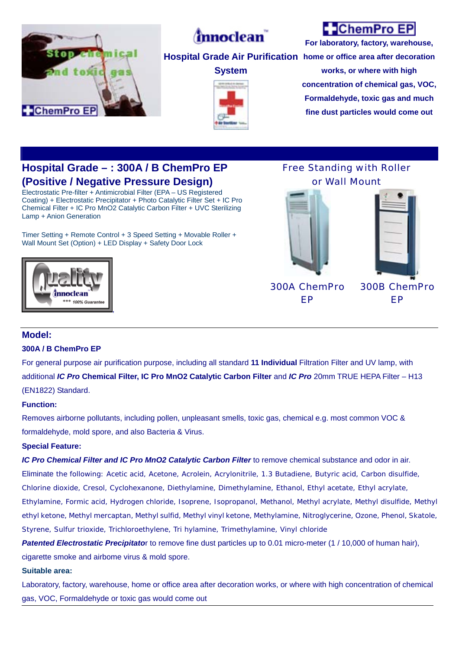

# *(mnoclean*)

**System** 

## **ChemPro EP**

**Hospital Grade Air Purification home or office area after decoration For laboratory, factory, warehouse, works, or where with high concentration of chemical gas, VOC,** 

> **Formaldehyde, toxic gas and much fine dust particles would come out**

### **Hospital Grade – : 300A / B ChemPro EP (Positive / Negative Pressure Design)**

Electrostatic Pre-filter + Antimicrobial Filter (EPA – US Registered Coating) + Electrostatic Precipitator + Photo Catalytic Filter Set + IC Pro Chemical Filter + IC Pro MnO2 Catalytic Carbon Filter + UVC Sterilizing Lamp + Anion Generation

Timer Setting + Remote Control + 3 Speed Setting + Movable Roller + Wall Mount Set (Option) + LED Display + Safety Door Lock



Free Standing with Roller or Wall Mount





300A ChemPro EP

300B ChemPro EP

#### **Model:**

#### **300A / B ChemPro EP**

For general purpose air purification purpose, including all standard **11 Individual** Filtration Filter and UV lamp, with additional *IC Pro* **Chemical Filter, IC Pro MnO2 Catalytic Carbon Filter** and *IC Pro* 20mm TRUE HEPA Filter – H13 (EN1822) Standard.

#### **Function:**

Removes airborne pollutants, including pollen, unpleasant smells, toxic gas, chemical e.g. most common VOC & formaldehyde, mold spore, and also Bacteria & Virus.

#### **Special Feature:**

*IC Pro Chemical Filter and IC Pro MnO2 Catalytic Carbon Filter* to remove chemical substance and odor in air.

Eliminate the following: Acetic acid, Acetone, Acrolein, Acrylonitrile, 1.3 Butadiene, Butyric acid, Carbon disulfide, Chlorine dioxide, Cresol, Cyclohexanone, Diethylamine, Dimethylamine, Ethanol, Ethyl acetate, Ethyl acrylate, Ethylamine, Formic acid, Hydrogen chloride, Isoprene, Isopropanol, Methanol, Methyl acrylate, Methyl disulfide, Methyl ethyl ketone, Methyl mercaptan, Methyl sulfid, Methyl vinyl ketone, Methylamine, Nitroglycerine, Ozone, Phenol, Skatole, Styrene, Sulfur trioxide, Trichloroethylene, Tri hylamine, Trimethylamine, Vinyl chloride

*Patented Electrostatic Precipitato*r to remove fine dust particles up to 0.01 micro-meter (1 / 10,000 of human hair), cigarette smoke and airbome virus & mold spore.

#### **Suitable area:**

Laboratory, factory, warehouse, home or office area after decoration works, or where with high concentration of chemical gas, VOC, Formaldehyde or toxic gas would come out